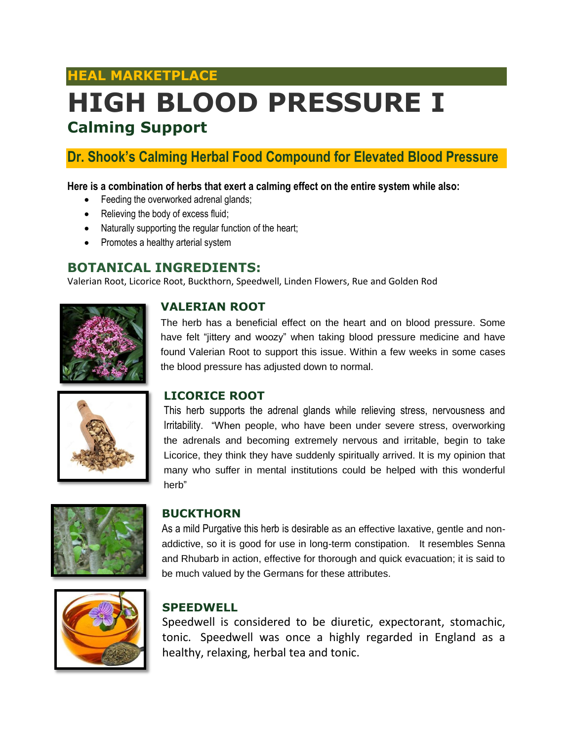## **HEAL MARKETPLACE**

# **HIGH BLOOD PRESSURE I Calming Support**

## **Dr. Shook's Calming Herbal Food Compound for Elevated Blood Pressure**

#### **Here is a combination of herbs that exert a calming effect on the entire system while also:**

- Feeding the overworked adrenal glands;
- Relieving the body of excess fluid;
- Naturally supporting the regular function of the heart;
- Promotes a healthy arterial system

### **BOTANICAL INGREDIENTS:**

Valerian Root, Licorice Root, Buckthorn, Speedwell, Linden Flowers, Rue and Golden Rod



#### **VALERIAN ROOT**

The herb has a beneficial effect on the heart and on blood pressure. Some have felt "jittery and woozy" when taking blood pressure medicine and have found Valerian Root to support this issue. Within a few weeks in some cases the blood pressure has adjusted down to normal.



#### **LICORICE ROOT**

This herb supports the adrenal glands while relieving stress, nervousness and Irritability. "When people, who have been under severe stress, overworking the adrenals and becoming extremely nervous and irritable, begin to take Licorice, they think they have suddenly spiritually arrived. It is my opinion that many who suffer in mental institutions could be helped with this wonderful herb"



#### **BUCKTHORN**

As a mild Purgative this herb is desirable as an effective laxative, gentle and nonaddictive, so it is good for use in long-term constipation. It resembles Senna and Rhubarb in action, effective for thorough and quick evacuation; it is said to be much valued by the Germans for these attributes.



#### **SPEEDWELL**

Speedwell is considered to be diuretic, expectorant, stomachic, tonic. Speedwell was once a highly regarded in England as a healthy, relaxing, herbal tea and tonic.